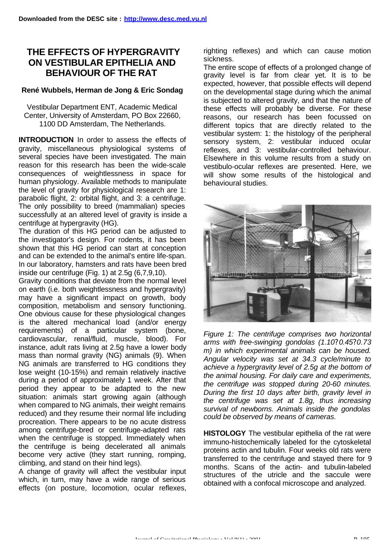## **THE EFFECTS OF HYPERGRAVITY ON VESTIBULAR EPITHELIA AND BEHAVIOUR OF THE RAT**

## **René Wubbels, Herman de Jong & Eric Sondag**

Vestibular Department ENT, Academic Medical Center, University of Amsterdam, PO Box 22660, 1100 DD Amsterdam, The Netherlands.

**INTRODUCTION** In order to assess the effects of gravity, miscellaneous physiological systems of several species have been investigated. The main reason for this research has been the wide-scale consequences of weightlessness in space for human physiology. Available methods to manipulate the level of gravity for physiological research are 1: parabolic flight, 2: orbital flight, and 3: a centrifuge. The only possibility to breed (mammalian) species successfully at an altered level of gravity is inside a centrifuge at hypergravity (HG).

The duration of this HG period can be adjusted to the investigator's design. For rodents, it has been shown that this HG period can start at conception and can be extended to the animal's entire life-span. In our laboratory, hamsters and rats have been bred inside our centrifuge (Fig. 1) at 2.5g (6,7,9,10).

Gravity conditions that deviate from the normal level on earth (i.e. both weightlessness and hypergravity) may have a significant impact on growth, body composition, metabolism and sensory functioning. One obvious cause for these physiological changes is the altered mechanical load (and/or energy requirements) of a particular system (bone, cardiovascular, renal/fluid, muscle, blood). For instance, adult rats living at 2.5g have a lower body mass than normal gravity (NG) animals (9). When NG animals are transferred to HG conditions they lose weight (10-15%) and remain relatively inactive during a period of approximately 1 week. After that period they appear to be adapted to the new situation: animals start growing again (although when compared to NG animals, their weight remains reduced) and they resume their normal life including procreation. There appears to be no acute distress among centrifuge-bred or centrifuge-adapted rats when the centrifuge is stopped. Immediately when the centrifuge is being decelerated all animals become very active (they start running, romping, climbing, and stand on their hind legs).

A change of gravity will affect the vestibular input which, in turn, may have a wide range of serious effects (on posture, locomotion, ocular reflexes,

righting reflexes) and which can cause motion sickness.

The entire scope of effects of a prolonged change of gravity level is far from clear yet. It is to be expected, however, that possible effects will depend on the developmental stage during which the animal is subjected to altered gravity, and that the nature of these effects will probably be diverse. For these reasons, our research has been focussed on different topics that are directly related to the vestibular system: 1: the histology of the peripheral sensory system, 2: vestibular induced ocular reflexes, and 3: vestibular-controlled behaviour. Elsewhere in this volume results from a study on vestibulo-ocular reflexes are presented. Here, we will show some results of the histological and behavioural studies.



*Figure 1: The centrifuge comprises two horizontal arms with free-swinging gondolas (1.10? 0.45?0.73 m) in which experimental animals can be housed. Angular velocity was set at 34.3 cycle/minute to achieve a hypergravity level of 2.5g at the bottom of the animal housing. For daily care and experiments, the centrifuge was stopped during 20-60 minutes. During the first 10 days after birth, gravity level in the centrifuge was set at 1.8g, thus increasing survival of newborns. Animals inside the gondolas could be observed by means of cameras.*

**HISTOLOGY** The vestibular epithelia of the rat were immuno-histochemically labeled for the cytoskeletal proteins actin and tubulin. Four weeks old rats were transferred to the centrifuge and stayed there for 9 months. Scans of the actin- and tubulin-labeled structures of the utricle and the saccule were obtained with a confocal microscope and analyzed.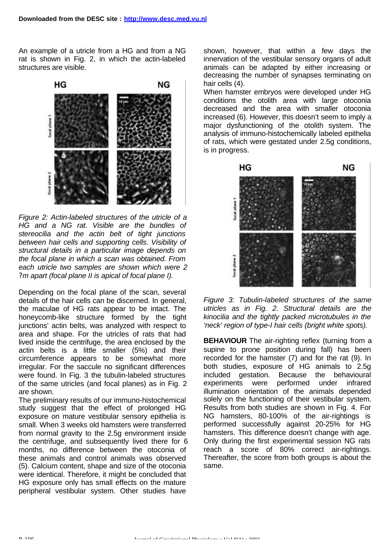An example of a utricle from a HG and from a NG rat is shown in Fig. 2, in which the actin-labeled structures are visible.



*Figure 2: Actin-labeled structures of the utricle of a HG and a NG rat. Visible are the bundles of stereocilia and the actin belt of tight junctions between hair cells and supporting cells. Visibility of structural details in a particular image depends on the focal plane in which a scan was obtained. From each utricle two samples are shown which were 2 ?m apart (focal plane II is apical of focal plane I).*

Depending on the focal plane of the scan, several details of the hair cells can be discerned. In general, the maculae of HG rats appear to be intact. The honeycomb-like structure formed by the tight junctions' actin belts, was analyzed with respect to area and shape. For the utricles of rats that had lived inside the centrifuge, the area enclosed by the actin belts is a little smaller (5%) and their circumference appears to be somewhat more irregular. For the saccule no significant differences were found. In Fig. 3 the tubulin-labeled structures of the same utricles (and focal planes) as in Fig. 2 are shown.

The preliminary results of our immuno-histochemical study suggest that the effect of prolonged HG exposure on mature vestibular sensory epithelia is small. When 3 weeks old hamsters were transferred from normal gravity to the 2.5g environment inside the centrifuge, and subsequently lived there for 6 months, no difference between the otoconia of these animals and control animals was observed (5). Calcium content, shape and size of the otoconia were identical. Therefore, it might be concluded that HG exposure only has small effects on the mature peripheral vestibular system. Other studies have

shown, however, that within a few days the innervation of the vestibular sensory organs of adult animals can be adapted by either increasing or decreasing the number of synapses terminating on hair cells (4).

When hamster embryos were developed under HG conditions the otolith area with large otoconia decreased and the area with smaller otoconia increased (6). However, this doesn't seem to imply a major dysfunctioning of the otolith system. The analysis of immuno-histochemically labeled epithelia of rats, which were gestated under 2.5g conditions, is in progress.





**BEHAVIOUR** The air-righting reflex (turning from a supine to prone position during fall) has been recorded for the hamster (7) and for the rat (9). In both studies, exposure of HG animals to 2.5g included gestation. Because the behavioural experiments were performed under infrared illumination orientation of the animals depended solely on the functioning of their vestibular system. Results from both studies are shown in Fig. 4. For NG hamsters, 80-100% of the air-rightings is performed successfully against 20-25% for HG hamsters. This difference doesn't change with age. Only during the first experimental session NG rats reach a score of 80% correct air-rightings. Thereafter, the score from both groups is about the same.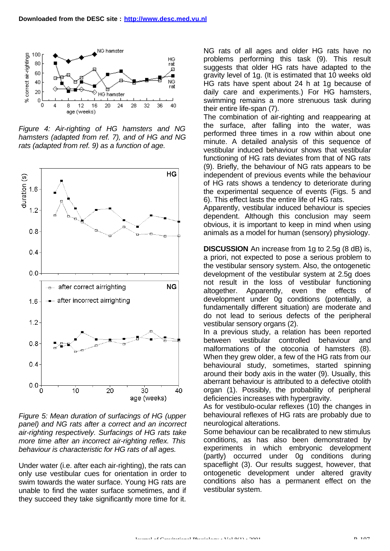

*Figure 4: Air-righting of HG hamsters and NG hamsters (adapted from ref. 7), and of HG and NG rats (adapted from ref. 9) as a function of age.*



*Figure 5: Mean duration of surfacings of HG (upper panel) and NG rats after a correct and an incorrect air-righting respectively. Surfacings of HG rats take more time after an incorrect air-righting reflex. This behaviour is characteristic for HG rats of all ages.*

Under water (i.e. after each air-righting), the rats can only use vestibular cues for orientation in order to swim towards the water surface. Young HG rats are unable to find the water surface sometimes, and if they succeed they take significantly more time for it.

NG rats of all ages and older HG rats have no problems performing this task (9). This result suggests that older HG rats have adapted to the gravity level of 1g. (It is estimated that 10 weeks old HG rats have spent about 24 h at 1g because of daily care and experiments.) For HG hamsters, swimming remains a more strenuous task during their entire life-span (7).

The combination of air-righting and reappearing at the surface, after falling into the water, was performed three times in a row within about one minute. A detailed analysis of this sequence of vestibular induced behaviour shows that vestibular functioning of HG rats deviates from that of NG rats (9). Briefly, the behaviour of NG rats appears to be independent of previous events while the behaviour of HG rats shows a tendency to deteriorate during the experimental sequence of events (Figs. 5 and 6). This effect lasts the entire life of HG rats.

Apparently, vestibular induced behaviour is species dependent. Although this conclusion may seem obvious, it is important to keep in mind when using animals as a model for human (sensory) physiology.

**DISCUSSION** An increase from 1g to 2.5g (8 dB) is, a priori, not expected to pose a serious problem to the vestibular sensory system. Also, the ontogenetic development of the vestibular system at 2.5g does not result in the loss of vestibular functioning altogether. Apparently, even the effects of development under 0g conditions (potentially, a fundamentally different situation) are moderate and do not lead to serious defects of the peripheral vestibular sensory organs (2).

In a previous study, a relation has been reported between vestibular controlled behaviour and malformations of the otoconia of hamsters (8). When they grew older, a few of the HG rats from our behavioural study, sometimes, started spinning around their body axis in the water (9). Usually, this aberrant behaviour is attributed to a defective otolith organ (1). Possibly, the probability of peripheral deficiencies increases with hypergravity.

As for vestibulo-ocular reflexes (10) the changes in behavioural reflexes of HG rats are probably due to neurological alterations.

Some behaviour can be recalibrated to new stimulus conditions, as has also been demonstrated by experiments in which embryonic development (partly) occurred under 0g conditions during spaceflight (3). Our results suggest, however, that ontogenetic development under altered gravity conditions also has a permanent effect on the vestibular system.